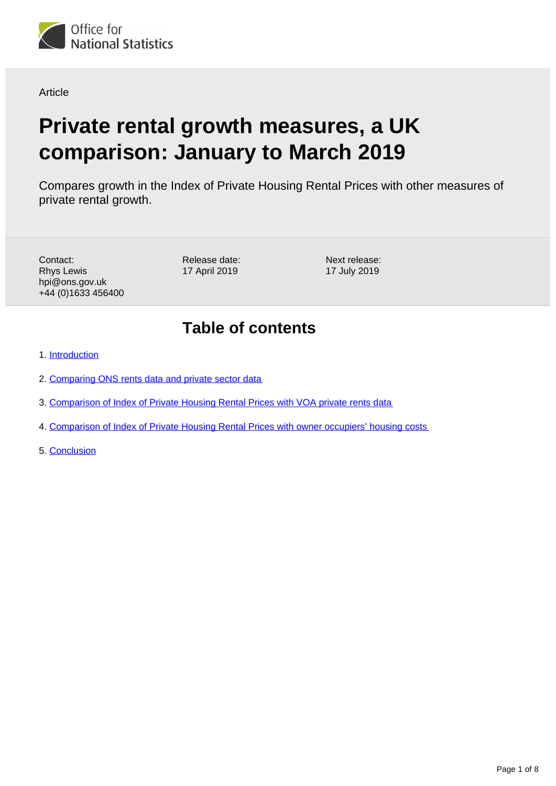

**Article** 

# **Private rental growth measures, a UK comparison: January to March 2019**

Compares growth in the Index of Private Housing Rental Prices with other measures of private rental growth.

Contact: Rhys Lewis hpi@ons.gov.uk +44 (0)1633 456400 Release date: 17 April 2019

Next release: 17 July 2019

# **Table of contents**

- 1. [Introduction](#page-1-0)
- 2. [Comparing ONS rents data and private sector data](#page-1-1)
- 3. [Comparison of Index of Private Housing Rental Prices with VOA private rents data](#page-3-0)
- 4. [Comparison of Index of Private Housing Rental Prices with owner occupiers' housing costs](#page-5-0)
- 5. [Conclusion](#page-7-0)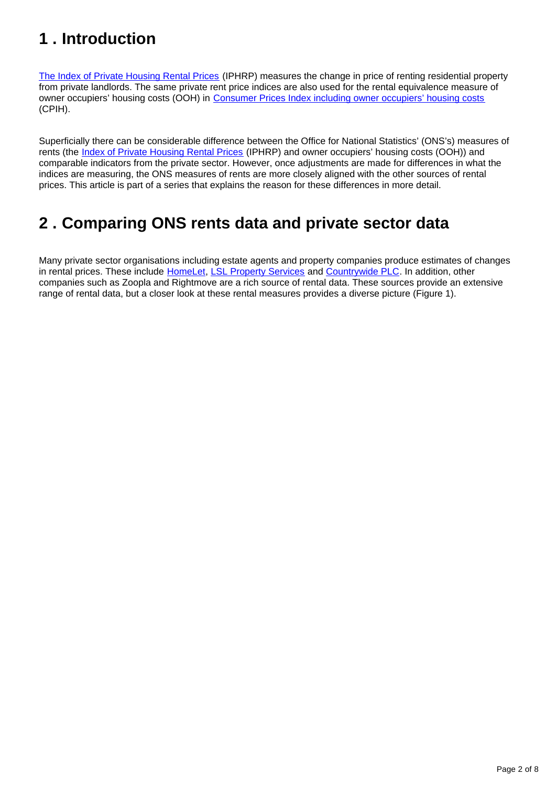# <span id="page-1-0"></span>**1 . Introduction**

[The Index of Private Housing Rental Prices](https://www.ons.gov.uk/economy/inflationandpriceindices/bulletins/indexofprivatehousingrentalprices/previousReleases) (IPHRP) measures the change in price of renting residential property from private landlords. The same private rent price indices are also used for the rental equivalence measure of owner occupiers' housing costs (OOH) in [Consumer Prices Index including owner occupiers' housing costs](https://www.ons.gov.uk/economy/inflationandpriceindices) (CPIH).

Superficially there can be considerable difference between the Office for National Statistics' (ONS's) measures of rents (the [Index of Private Housing Rental Prices](https://www.ons.gov.uk/economy/inflationandpriceindices/bulletins/indexofprivatehousingrentalprices/previousReleases) (IPHRP) and owner occupiers' housing costs (OOH)) and comparable indicators from the private sector. However, once adjustments are made for differences in what the indices are measuring, the ONS measures of rents are more closely aligned with the other sources of rental prices. This article is part of a series that explains the reason for these differences in more detail.

# <span id="page-1-1"></span>**2 . Comparing ONS rents data and private sector data**

Many private sector organisations including estate agents and property companies produce estimates of changes in rental prices. These include [HomeLet](https://homelet.co.uk/homelet-rental-index), [LSL Property Services](https://www.lslps.co.uk/news-and-media/market-intelligence/buy-to-let-index) and [Countrywide PLC.](https://www.countrywide.co.uk/news/countrywide-plc-monthly-lettings-index-april-2018/) In addition, other companies such as Zoopla and Rightmove are a rich source of rental data. These sources provide an extensive range of rental data, but a closer look at these rental measures provides a diverse picture (Figure 1).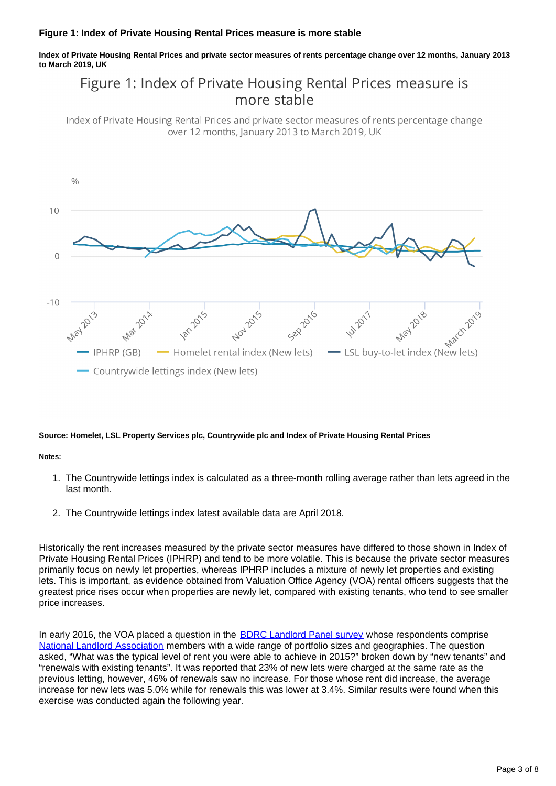#### **Figure 1: Index of Private Housing Rental Prices measure is more stable**

**Index of Private Housing Rental Prices and private sector measures of rents percentage change over 12 months, January 2013 to March 2019, UK**

### Figure 1: Index of Private Housing Rental Prices measure is more stable

Index of Private Housing Rental Prices and private sector measures of rents percentage change over 12 months, January 2013 to March 2019, UK



#### **Source: Homelet, LSL Property Services plc, Countrywide plc and Index of Private Housing Rental Prices**

#### **Notes:**

- 1. The Countrywide lettings index is calculated as a three-month rolling average rather than lets agreed in the last month.
- 2. The Countrywide lettings index latest available data are April 2018.

Historically the rent increases measured by the private sector measures have differed to those shown in Index of Private Housing Rental Prices (IPHRP) and tend to be more volatile. This is because the private sector measures primarily focus on newly let properties, whereas IPHRP includes a mixture of newly let properties and existing lets. This is important, as evidence obtained from Valuation Office Agency (VOA) rental officers suggests that the greatest price rises occur when properties are newly let, compared with existing tenants, who tend to see smaller price increases.

In early 2016, the VOA placed a question in the [BDRC Landlord Panel survey](https://bdrc-continental.com/products/landlords-panel/) whose respondents comprise [National Landlord Association](http://www.landlords.org.uk/) members with a wide range of portfolio sizes and geographies. The question asked, "What was the typical level of rent you were able to achieve in 2015?" broken down by "new tenants" and "renewals with existing tenants". It was reported that 23% of new lets were charged at the same rate as the previous letting, however, 46% of renewals saw no increase. For those whose rent did increase, the average increase for new lets was 5.0% while for renewals this was lower at 3.4%. Similar results were found when this exercise was conducted again the following year.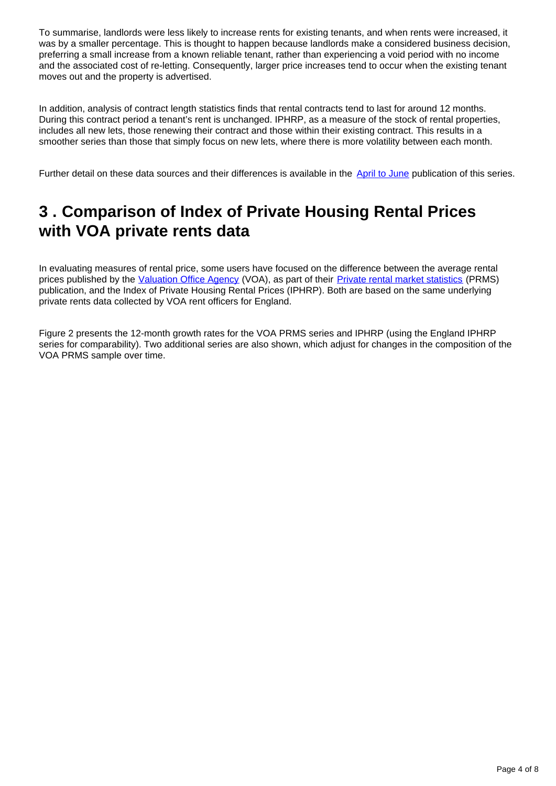To summarise, landlords were less likely to increase rents for existing tenants, and when rents were increased, it was by a smaller percentage. This is thought to happen because landlords make a considered business decision, preferring a small increase from a known reliable tenant, rather than experiencing a void period with no income and the associated cost of re-letting. Consequently, larger price increases tend to occur when the existing tenant moves out and the property is advertised.

In addition, analysis of contract length statistics finds that rental contracts tend to last for around 12 months. During this contract period a tenant's rent is unchanged. IPHRP, as a measure of the stock of rental properties, includes all new lets, those renewing their contract and those within their existing contract. This results in a smoother series than those that simply focus on new lets, where there is more volatility between each month.

Further detail on these data sources and their differences is available in the [April to June](https://www.ons.gov.uk/economy/inflationandpriceindices/articles/comparingmeasuresofprivaterentalgrowthintheuk/apriltojune2018) publication of this series.

### <span id="page-3-0"></span>**3 . Comparison of Index of Private Housing Rental Prices with VOA private rents data**

In evaluating measures of rental price, some users have focused on the difference between the average rental prices published by the [Valuation Office Agency](https://www.gov.uk/government/organisations/valuation-office-agency) (VOA), as part of their [Private rental market statistics](https://www.gov.uk/government/statistics/private-rental-market-statistics-may-2016) (PRMS) publication, and the Index of Private Housing Rental Prices (IPHRP). Both are based on the same underlying private rents data collected by VOA rent officers for England.

Figure 2 presents the 12-month growth rates for the VOA PRMS series and IPHRP (using the England IPHRP series for comparability). Two additional series are also shown, which adjust for changes in the composition of the VOA PRMS sample over time.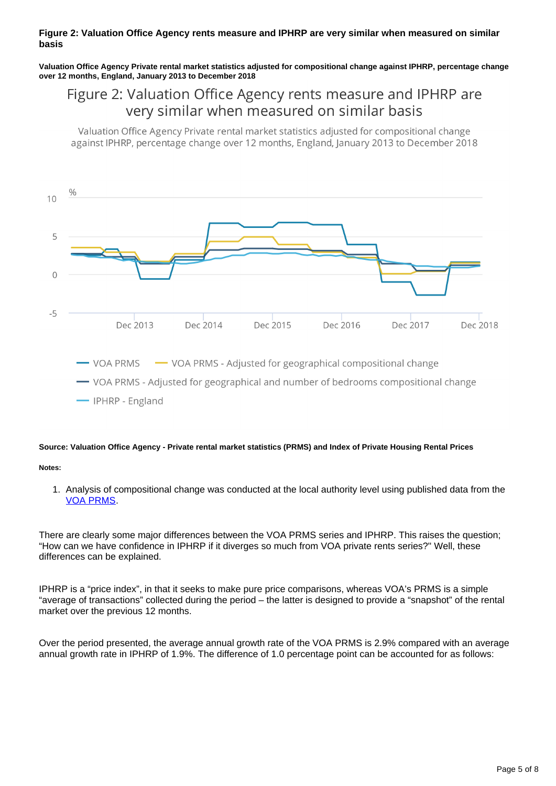#### **Figure 2: Valuation Office Agency rents measure and IPHRP are very similar when measured on similar basis**

**Valuation Office Agency Private rental market statistics adjusted for compositional change against IPHRP, percentage change over 12 months, England, January 2013 to December 2018**

### Figure 2: Valuation Office Agency rents measure and IPHRP are very similar when measured on similar basis

Valuation Office Agency Private rental market statistics adjusted for compositional change against IPHRP, percentage change over 12 months, England, January 2013 to December 2018



#### **Source: Valuation Office Agency - Private rental market statistics (PRMS) and Index of Private Housing Rental Prices**

#### **Notes:**

1. Analysis of compositional change was conducted at the local authority level using published data from the [VOA PRMS](https://www.gov.uk/government/collections/private-rental-market-statistics).

There are clearly some major differences between the VOA PRMS series and IPHRP. This raises the question; "How can we have confidence in IPHRP if it diverges so much from VOA private rents series?" Well, these differences can be explained.

IPHRP is a "price index", in that it seeks to make pure price comparisons, whereas VOA's PRMS is a simple "average of transactions" collected during the period – the latter is designed to provide a "snapshot" of the rental market over the previous 12 months.

Over the period presented, the average annual growth rate of the VOA PRMS is 2.9% compared with an average annual growth rate in IPHRP of 1.9%. The difference of 1.0 percentage point can be accounted for as follows: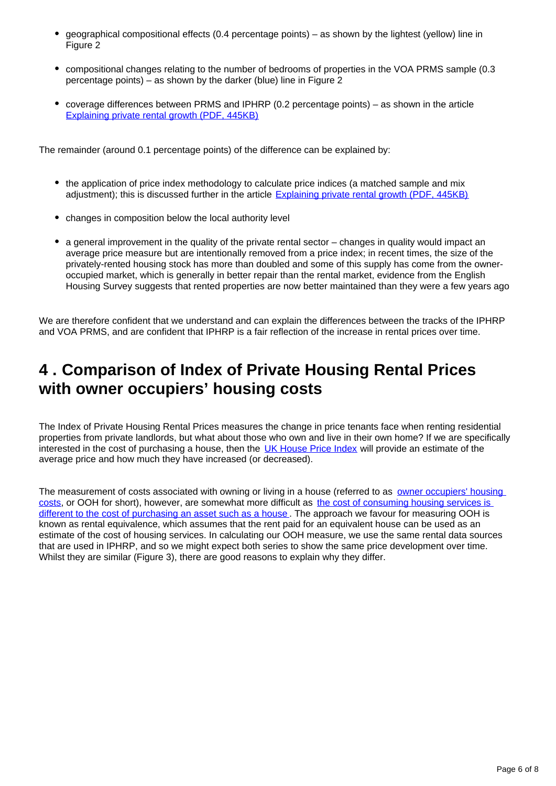- geographical compositional effects (0.4 percentage points) as shown by the lightest (yellow) line in Figure 2
- compositional changes relating to the number of bedrooms of properties in the VOA PRMS sample (0.3 percentage points) – as shown by the darker (blue) line in Figure 2
- coverage differences between PRMS and IPHRP (0.2 percentage points) as shown in the article [Explaining private rental growth \(PDF, 445KB\)](http://webarchive.nationalarchives.gov.uk/20160105160709/http:/www.ons.gov.uk/ons/guide-method/user-guidance/prices/cpi-and-rpi/explaining-private-rental-growth.pdf)

The remainder (around 0.1 percentage points) of the difference can be explained by:

- the application of price index methodology to calculate price indices (a matched sample and mix adjustment); this is discussed further in the article [Explaining private rental growth \(PDF, 445KB\)](http://webarchive.nationalarchives.gov.uk/20160105160709/http:/www.ons.gov.uk/ons/guide-method/user-guidance/prices/cpi-and-rpi/explaining-private-rental-growth.pdf)
- changes in composition below the local authority level
- a general improvement in the quality of the private rental sector changes in quality would impact an average price measure but are intentionally removed from a price index; in recent times, the size of the privately-rented housing stock has more than doubled and some of this supply has come from the owneroccupied market, which is generally in better repair than the rental market, evidence from the English Housing Survey suggests that rented properties are now better maintained than they were a few years ago

We are therefore confident that we understand and can explain the differences between the tracks of the IPHRP and VOA PRMS, and are confident that IPHRP is a fair reflection of the increase in rental prices over time.

### <span id="page-5-0"></span>**4 . Comparison of Index of Private Housing Rental Prices with owner occupiers' housing costs**

The Index of Private Housing Rental Prices measures the change in price tenants face when renting residential properties from private landlords, but what about those who own and live in their own home? If we are specifically interested in the cost of purchasing a house, then the [UK House Price Index](https://www.gov.uk/government/collections/uk-house-price-index-reports) will provide an estimate of the average price and how much they have increased (or decreased).

The measurement of costs associated with owning or living in a house (referred to as owner occupiers' housing [costs,](https://www.ons.gov.uk/economy/inflationandpriceindices/timeseries/l5p7/mm23) or OOH for short), however, are somewhat more difficult as [the cost of consuming housing services is](https://blog.ons.gov.uk/2017/01/10/including-housing-costs-in-measures-of-inflation/)  [different to the cost of purchasing an asset such as a house](https://blog.ons.gov.uk/2017/01/10/including-housing-costs-in-measures-of-inflation/). The approach we favour for measuring OOH is known as rental equivalence, which assumes that the rent paid for an equivalent house can be used as an estimate of the cost of housing services. In calculating our OOH measure, we use the same rental data sources that are used in IPHRP, and so we might expect both series to show the same price development over time. Whilst they are similar (Figure 3), there are good reasons to explain why they differ.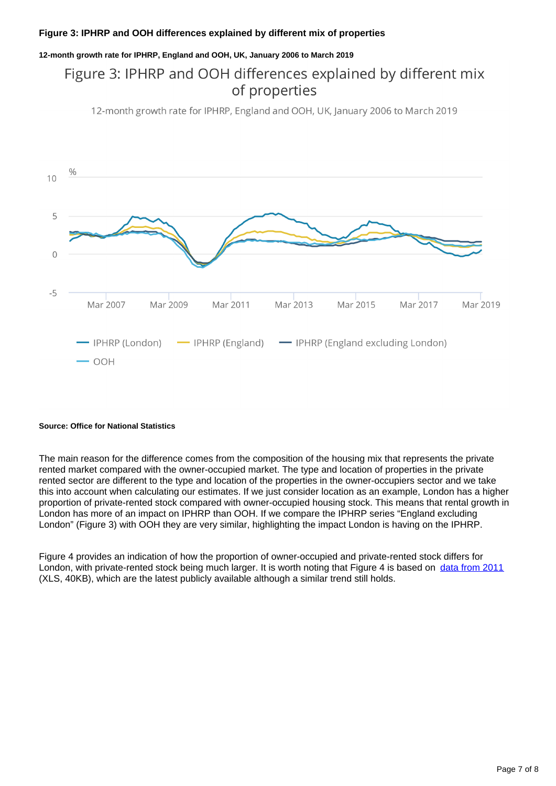#### **Figure 3: IPHRP and OOH differences explained by different mix of properties**

**12-month growth rate for IPHRP, England and OOH, UK, January 2006 to March 2019**

### Figure 3: IPHRP and OOH differences explained by different mix of properties

12-month growth rate for IPHRP, England and OOH, UK, January 2006 to March 2019



#### **Source: Office for National Statistics**

The main reason for the difference comes from the composition of the housing mix that represents the private rented market compared with the owner-occupied market. The type and location of properties in the private rented sector are different to the type and location of the properties in the owner-occupiers sector and we take this into account when calculating our estimates. If we just consider location as an example, London has a higher proportion of private-rented stock compared with owner-occupied housing stock. This means that rental growth in London has more of an impact on IPHRP than OOH. If we compare the IPHRP series "England excluding London" (Figure 3) with OOH they are very similar, highlighting the impact London is having on the IPHRP.

Figure 4 provides an indication of how the proportion of owner-occupied and private-rented stock differs for London, with private-rented stock being much larger. It is worth noting that Figure 4 is based on [data from 2011](https://www.gov.uk/government/uploads/system/uploads/attachment_data/file/192180/LiveTable109_FINAL_VERSION.xls) (XLS, 40KB), which are the latest publicly available although a similar trend still holds.